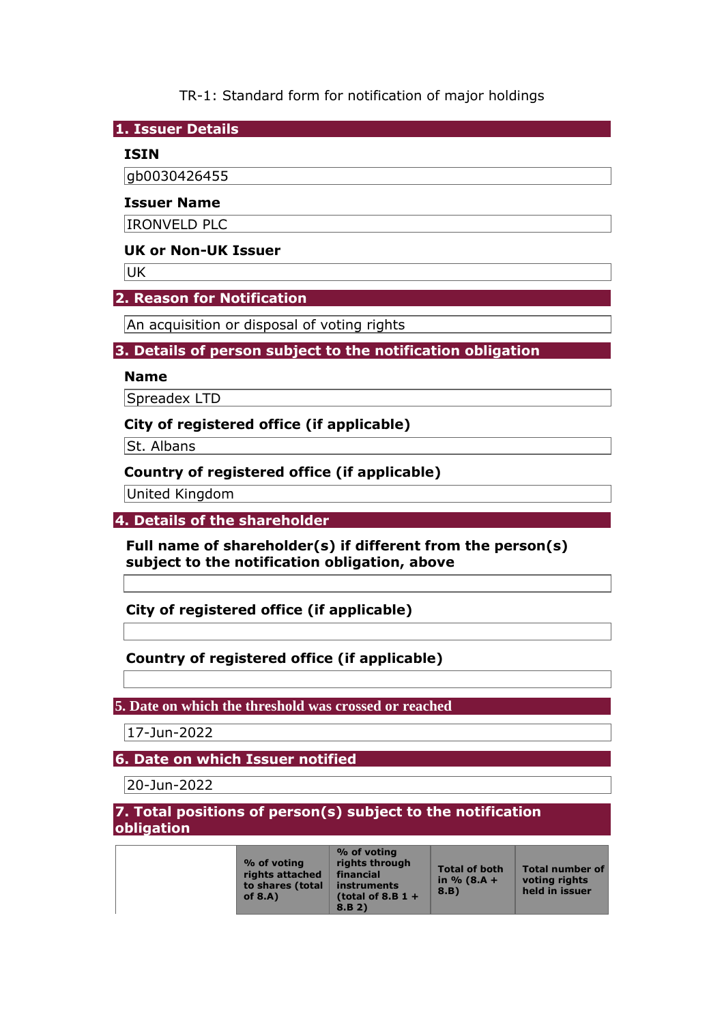TR-1: Standard form for notification of major holdings

**1. Issuer Details** 

## **ISIN**

gb0030426455

#### **Issuer Name**

IRONVELD PLC

### **UK or Non-UK Issuer**

**UK** 

## **2. Reason for Notification**

An acquisition or disposal of voting rights

## **3. Details of person subject to the notification obligation**

### **Name**

Spreadex LTD

## **City of registered office (if applicable)**

St. Albans

## **Country of registered office (if applicable)**

United Kingdom

#### **4. Details of the shareholder**

**Full name of shareholder(s) if different from the person(s) subject to the notification obligation, above** 

**City of registered office (if applicable)** 

## **Country of registered office (if applicable)**

#### **5. Date on which the threshold was crossed or reached**

17-Jun-2022

## **6. Date on which Issuer notified**

20-Jun-2022

## **7. Total positions of person(s) subject to the notification obligation**

| % of voting<br>rights attached<br>to shares (total<br>of $8.A$ ) | % of voting<br>rights through<br>financial<br>instruments<br>(total of 8.B $1 +$<br>8.B.2) | <b>Total of both</b><br>in $% (8.A +$<br>8.B | <b>Total number of</b><br>voting rights<br>held in issuer |
|------------------------------------------------------------------|--------------------------------------------------------------------------------------------|----------------------------------------------|-----------------------------------------------------------|
|                                                                  |                                                                                            |                                              |                                                           |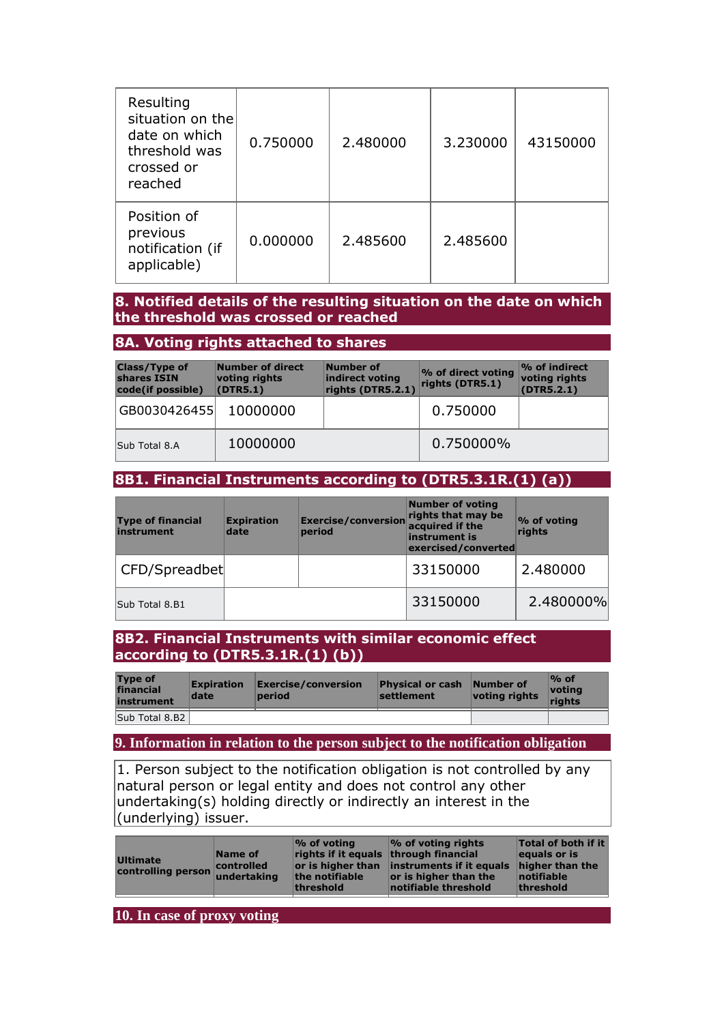| Resulting<br>situation on the<br>date on which<br>threshold was<br>crossed or<br>reached | 0.750000 | 2.480000 | 3.230000 | 43150000 |
|------------------------------------------------------------------------------------------|----------|----------|----------|----------|
| Position of<br>previous<br>notification (if<br>applicable)                               | 0.000000 | 2.485600 | 2.485600 |          |

#### **8. Notified details of the resulting situation on the date on which the threshold was crossed or reached**

#### **8A. Voting rights attached to shares**

| <b>Class/Type of</b><br>shares ISIN<br>code(if possible) | Number of direct<br>voting rights<br>(DTR5.1) | Number of<br>indirect voting<br>rights (DTR5.2.1) | % of direct voting<br>rights (DTR5.1) | $\%$ of indirect<br>voting rights<br>(DTR5.2.1) |
|----------------------------------------------------------|-----------------------------------------------|---------------------------------------------------|---------------------------------------|-------------------------------------------------|
| GB0030426455 10000000                                    |                                               |                                                   | 0.750000                              |                                                 |
| Sub Total 8.A                                            | 10000000                                      |                                                   | 0.750000%                             |                                                 |

## **8B1. Financial Instruments according to (DTR5.3.1R.(1) (a))**

| <b>Type of financial</b><br>instrument | <b>Expiration</b><br>date | Exercise/conversion<br>period | <b>Number of voting</b><br>rights that may be<br>acquired if the<br>instrument is<br>exercised/converted | $\%$ of voting<br>rights |
|----------------------------------------|---------------------------|-------------------------------|----------------------------------------------------------------------------------------------------------|--------------------------|
| CFD/Spreadbet                          |                           |                               | 33150000                                                                                                 | 2.480000                 |
| Sub Total 8.B1                         |                           |                               | 33150000                                                                                                 | 2.480000%                |

#### **8B2. Financial Instruments with similar economic effect according to (DTR5.3.1R.(1) (b))**

| <b>Type of</b><br>financial<br>instrument | <b>Expiration</b><br>date | Exercise/conversion<br>period | <b>Physical or cash Number of</b><br>settlement | voting rights | $\%$ of<br><u>votina</u><br>riahts |
|-------------------------------------------|---------------------------|-------------------------------|-------------------------------------------------|---------------|------------------------------------|
| Sub Total 8.B2                            |                           |                               |                                                 |               |                                    |

**9. Information in relation to the person subject to the notification obligation** 

1. Person subject to the notification obligation is not controlled by any natural person or legal entity and does not control any other undertaking(s) holding directly or indirectly an interest in the (underlying) issuer.

|--|

**10. In case of proxy voting**